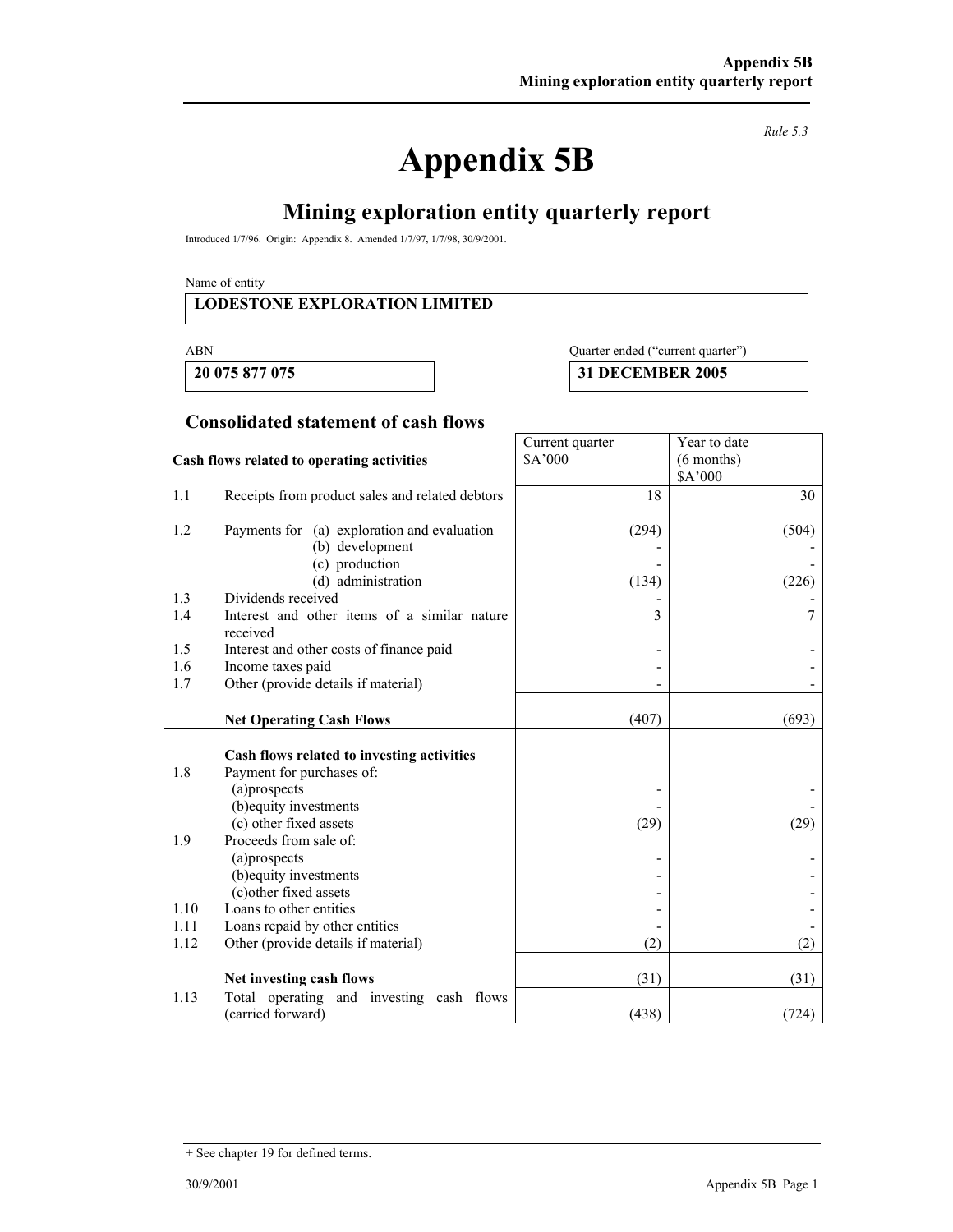# **Appendix 5B**

*Rule 5.3* 

# **Mining exploration entity quarterly report**

Introduced 1/7/96. Origin: Appendix 8. Amended 1/7/97, 1/7/98, 30/9/2001.

Name of entity

#### **LODESTONE EXPLORATION LIMITED**

#### ABN Quarter ended ("current quarter")

Year to date (6 months)

 **20 075 877 075 31 DECEMBER 2005** 

Current quarter \$A'000

#### **Consolidated statement of cash flows**

#### **Cash flows related to operating activities**

|      |                                                                                                                   |       | \$A'000 |
|------|-------------------------------------------------------------------------------------------------------------------|-------|---------|
| 1.1  | Receipts from product sales and related debtors                                                                   | 18    | 30      |
| 1.2  | Payments for (a) exploration and evaluation                                                                       | (294) | (504)   |
|      | (b) development                                                                                                   |       |         |
|      | (c) production                                                                                                    |       |         |
|      | (d) administration                                                                                                | (134) | (226)   |
| 1.3  | Dividends received                                                                                                |       |         |
| 1.4  | Interest and other items of a similar nature<br>received                                                          | 3     | 7       |
| 1.5  | Interest and other costs of finance paid                                                                          |       |         |
| 1.6  | Income taxes paid                                                                                                 |       |         |
| 1.7  | Other (provide details if material)                                                                               |       |         |
|      |                                                                                                                   |       |         |
|      | <b>Net Operating Cash Flows</b>                                                                                   | (407) | (693)   |
| 1.8  | Cash flows related to investing activities<br>Payment for purchases of:<br>(a)prospects<br>(b) equity investments |       |         |
|      | (c) other fixed assets                                                                                            | (29)  | (29)    |
| 1.9  | Proceeds from sale of:                                                                                            |       |         |
|      | (a)prospects                                                                                                      |       |         |
|      | (b) equity investments                                                                                            |       |         |
|      | (c) other fixed assets                                                                                            |       |         |
| 1.10 | Loans to other entities                                                                                           |       |         |
| 1.11 | Loans repaid by other entities                                                                                    |       |         |
| 1.12 | Other (provide details if material)                                                                               | (2)   | (2)     |
|      | Net investing cash flows                                                                                          | (31)  | (31)    |
| 1.13 | Total operating and investing cash flows                                                                          |       |         |
|      | (carried forward)                                                                                                 | (438) | (724)   |

<sup>+</sup> See chapter 19 for defined terms.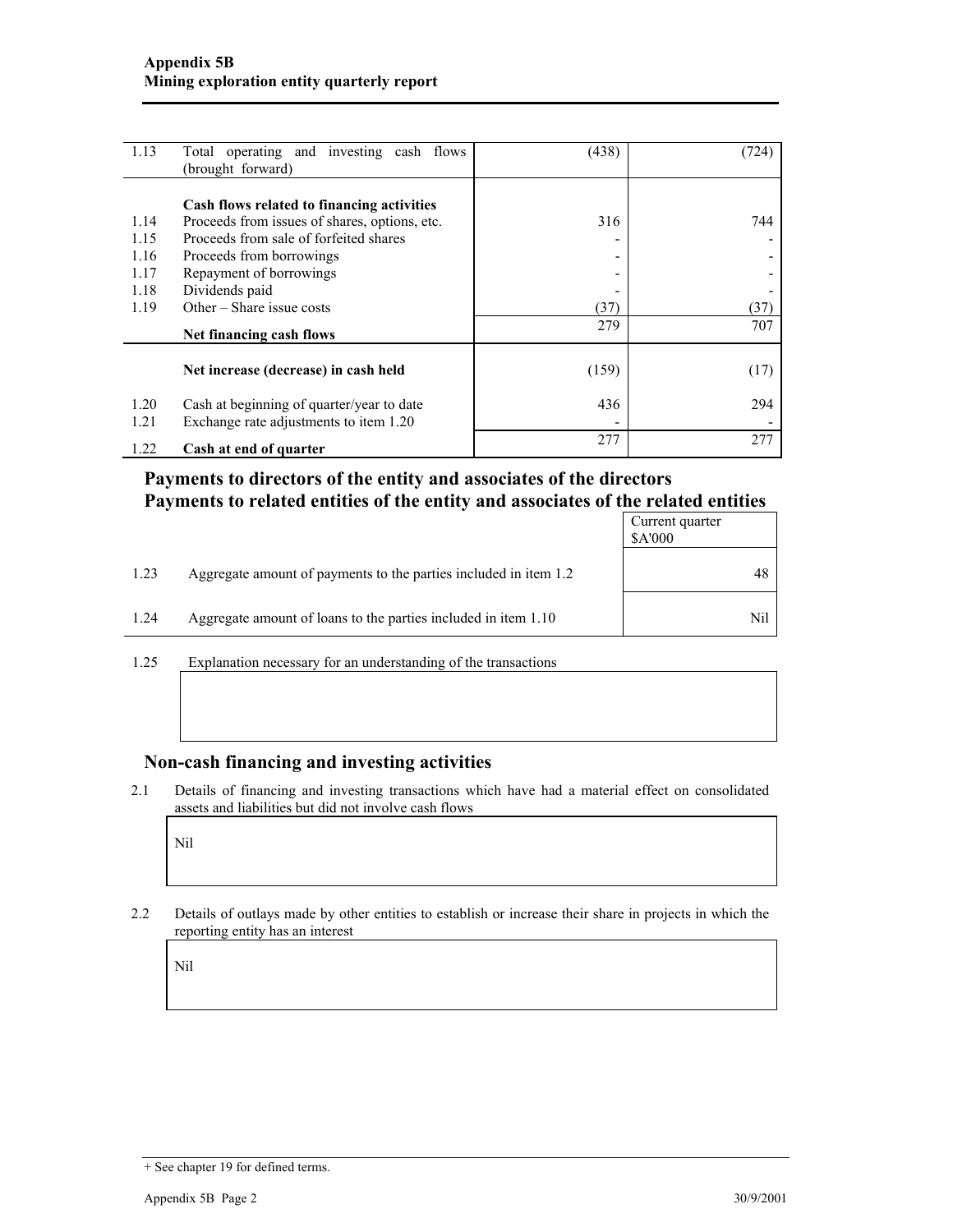| 1.13 | Total operating and investing cash flows      | (438) | (724) |
|------|-----------------------------------------------|-------|-------|
|      | (brought forward)                             |       |       |
|      |                                               |       |       |
|      | Cash flows related to financing activities    |       |       |
| 1.14 | Proceeds from issues of shares, options, etc. | 316   | 744   |
| 1.15 | Proceeds from sale of forfeited shares        |       |       |
| 1.16 | Proceeds from borrowings                      | -     |       |
| 1.17 | Repayment of borrowings                       |       |       |
| 1.18 | Dividends paid                                |       |       |
| 1.19 | Other – Share issue costs                     | (37)  | (37)  |
|      | Net financing cash flows                      | 279   | 707   |
|      |                                               |       |       |
|      | Net increase (decrease) in cash held          | (159) | (17)  |
| 1.20 | Cash at beginning of quarter/year to date     | 436   | 294   |
| 1.21 | Exchange rate adjustments to item 1.20        |       |       |
| 1.22 | Cash at end of quarter                        | 277   | 277   |

### **Payments to directors of the entity and associates of the directors Payments to related entities of the entity and associates of the related entities**

|      |                                                                  | Current quarter<br>\$A'000 |
|------|------------------------------------------------------------------|----------------------------|
| 1.23 | Aggregate amount of payments to the parties included in item 1.2 | 48                         |
| 1.24 | Aggregate amount of loans to the parties included in item 1.10   | Nil                        |

1.25 Explanation necessary for an understanding of the transactions

#### **Non-cash financing and investing activities**

2.1 Details of financing and investing transactions which have had a material effect on consolidated assets and liabilities but did not involve cash flows

Nil

2.2 Details of outlays made by other entities to establish or increase their share in projects in which the reporting entity has an interest

Nil

<sup>+</sup> See chapter 19 for defined terms.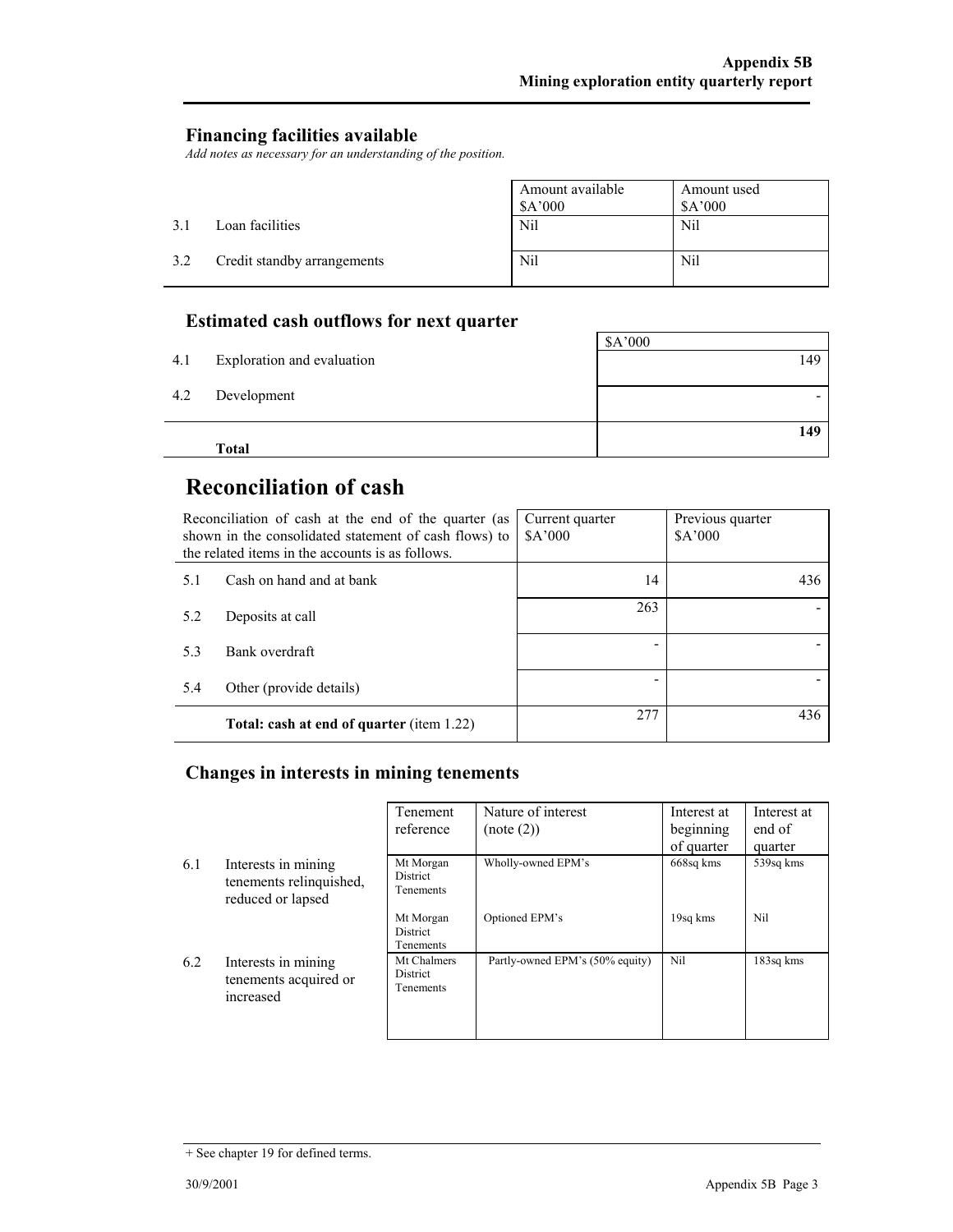#### **Financing facilities available**

*Add notes as necessary for an understanding of the position.* 

|     |                             | Amount available<br>A'000 | Amount used<br>\$A'000 |
|-----|-----------------------------|---------------------------|------------------------|
| 3.1 | Loan facilities             | Nil                       | Nil                    |
| 3.2 | Credit standby arrangements | Nil                       | Nil                    |

## **Estimated cash outflows for next quarter**

|     | <b>Total</b>               |         |
|-----|----------------------------|---------|
|     |                            | 149     |
| 4.2 | Development                |         |
| 4.1 | Exploration and evaluation | 149     |
|     |                            | \$A'000 |

# **Reconciliation of cash**

| Reconciliation of cash at the end of the quarter (as<br>shown in the consolidated statement of cash flows) to<br>the related items in the accounts is as follows. |                                                  | Current quarter<br>\$A'000 | Previous quarter<br>\$A'000 |
|-------------------------------------------------------------------------------------------------------------------------------------------------------------------|--------------------------------------------------|----------------------------|-----------------------------|
| 5.1                                                                                                                                                               | Cash on hand and at bank                         | 14                         | 436                         |
| 5.2                                                                                                                                                               | Deposits at call                                 | 263                        |                             |
| 5.3                                                                                                                                                               | Bank overdraft                                   |                            |                             |
| 5.4                                                                                                                                                               | Other (provide details)                          |                            |                             |
|                                                                                                                                                                   | <b>Total: cash at end of quarter (item 1.22)</b> | 277                        | 436                         |

## **Changes in interests in mining tenements**

|     |                                                                     | Tenement                                    | Nature of interest              | Interest at | Interest at |
|-----|---------------------------------------------------------------------|---------------------------------------------|---------------------------------|-------------|-------------|
|     |                                                                     | reference                                   | (note (2))                      | beginning   | end of      |
|     |                                                                     |                                             |                                 | of quarter  | quarter     |
| 6.1 | Interests in mining<br>tenements relinquished,<br>reduced or lapsed | Mt Morgan<br><b>District</b><br>Tenements   | Wholly-owned EPM's              | 668sq kms   | 539sq kms   |
|     |                                                                     | Mt Morgan<br><b>District</b><br>Tenements   | Optioned EPM's                  | 19sq kms    | Nil         |
| 6.2 | Interests in mining<br>tenements acquired or<br>increased           | Mt Chalmers<br><b>District</b><br>Tenements | Partly-owned EPM's (50% equity) | Nil         | 183sq kms   |

<sup>+</sup> See chapter 19 for defined terms.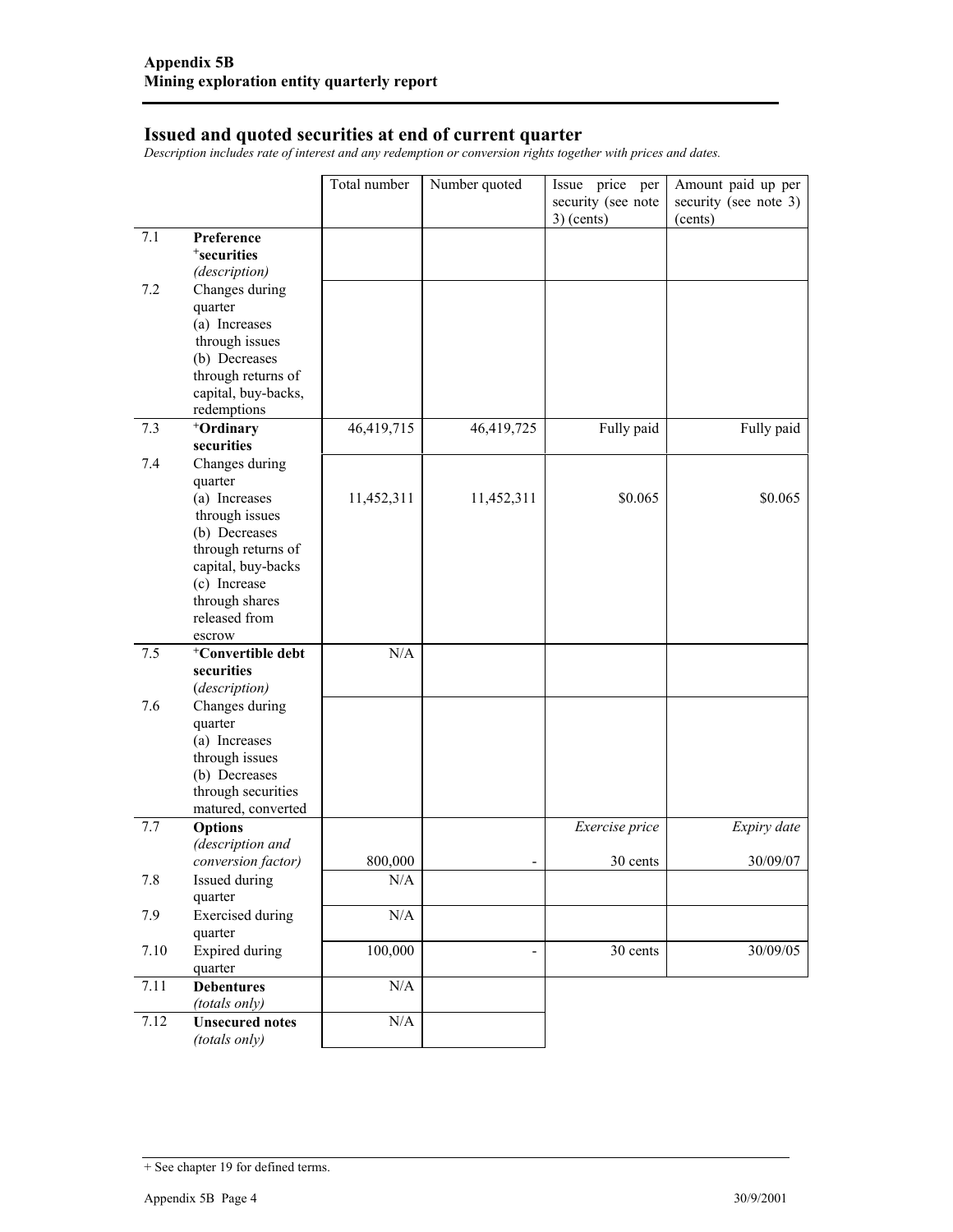#### **Issued and quoted securities at end of current quarter**

*Description includes rate of interest and any redemption or conversion rights together with prices and dates.* 

|      |                                          | Total number | Number quoted  | Issue price per    | Amount paid up per    |
|------|------------------------------------------|--------------|----------------|--------------------|-----------------------|
|      |                                          |              |                | security (see note | security (see note 3) |
|      |                                          |              |                | $3)$ (cents)       | (cents)               |
| 7.1  | Preference                               |              |                |                    |                       |
|      | <sup>+</sup> securities                  |              |                |                    |                       |
|      | (description)                            |              |                |                    |                       |
| 7.2  | Changes during                           |              |                |                    |                       |
|      | quarter<br>(a) Increases                 |              |                |                    |                       |
|      | through issues                           |              |                |                    |                       |
|      | (b) Decreases                            |              |                |                    |                       |
|      | through returns of                       |              |                |                    |                       |
|      | capital, buy-backs,                      |              |                |                    |                       |
|      | redemptions                              |              |                |                    |                       |
| 7.3  | <sup>+</sup> Ordinary                    | 46,419,715   | 46,419,725     | Fully paid         | Fully paid            |
|      | securities                               |              |                |                    |                       |
| 7.4  | Changes during                           |              |                |                    |                       |
|      | quarter                                  |              |                |                    |                       |
|      | (a) Increases                            | 11,452,311   | 11,452,311     | \$0.065            | \$0.065               |
|      | through issues                           |              |                |                    |                       |
|      | (b) Decreases                            |              |                |                    |                       |
|      | through returns of                       |              |                |                    |                       |
|      | capital, buy-backs<br>(c) Increase       |              |                |                    |                       |
|      | through shares                           |              |                |                    |                       |
|      | released from                            |              |                |                    |                       |
|      | escrow                                   |              |                |                    |                       |
| 7.5  | <sup>+</sup> Convertible debt            | N/A          |                |                    |                       |
|      | securities                               |              |                |                    |                       |
|      | (description)                            |              |                |                    |                       |
| 7.6  | Changes during                           |              |                |                    |                       |
|      | quarter                                  |              |                |                    |                       |
|      | (a) Increases                            |              |                |                    |                       |
|      | through issues                           |              |                |                    |                       |
|      | (b) Decreases                            |              |                |                    |                       |
|      | through securities<br>matured, converted |              |                |                    |                       |
| 7.7  | <b>Options</b>                           |              |                | Exercise price     | Expiry date           |
|      | (description and                         |              |                |                    |                       |
|      | conversion factor)                       | 800,000      |                | 30 cents           | 30/09/07              |
| 7.8  | Issued during                            | N/A          |                |                    |                       |
|      | quarter                                  |              |                |                    |                       |
| 7.9  | <b>Exercised</b> during                  | N/A          |                |                    |                       |
|      | quarter                                  |              |                |                    |                       |
| 7.10 | <b>Expired</b> during                    | 100,000      | $\blacksquare$ | 30 cents           | 30/09/05              |
|      | quarter                                  |              |                |                    |                       |
| 7.11 | <b>Debentures</b>                        | $\rm N/A$    |                |                    |                       |
|      | (totals only)                            |              |                |                    |                       |
| 7.12 | <b>Unsecured notes</b>                   | $\rm N/A$    |                |                    |                       |
|      | (totals only)                            |              |                |                    |                       |

<sup>+</sup> See chapter 19 for defined terms.